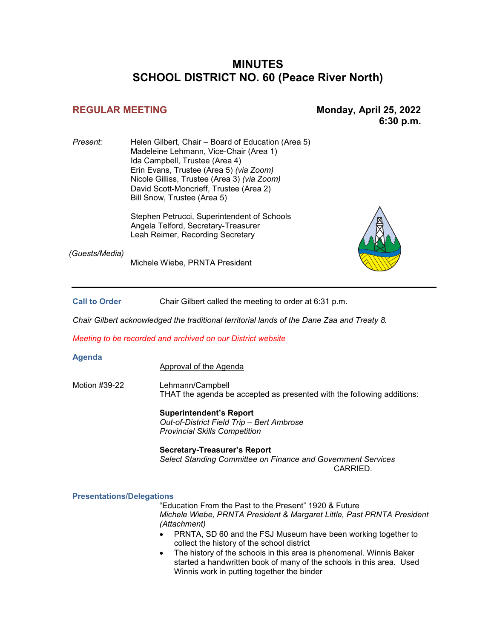# **MINUTES SCHOOL DISTRICT NO. 60 (Peace River North)**

**REGULAR MEETING Monday, April 25, 2022 6:30 p.m.** 

*Present:* Helen Gilbert, Chair – Board of Education (Area 5) Madeleine Lehmann, Vice-Chair (Area 1) Ida Campbell, Trustee (Area 4) Erin Evans, Trustee (Area 5) *(via Zoom)* Nicole Gilliss, Trustee (Area 3) *(via Zoom)* David Scott-Moncrieff, Trustee (Area 2) Bill Snow, Trustee (Area 5)

> Stephen Petrucci, Superintendent of Schools Angela Telford, Secretary-Treasurer Leah Reimer, Recording Secretary

*(Guests/Media)*

Michele Wiebe, PRNTA President

**Call to Order** Chair Gilbert called the meeting to order at 6:31 p.m.

*Chair Gilbert acknowledged the traditional territorial lands of the Dane Zaa and Treaty 8.*

*Meeting to be recorded and archived on our District website*

#### **Agenda**

Approval of the Agenda

Motion #39-22 Lehmann/Campbell THAT the agenda be accepted as presented with the following additions:

> **Superintendent's Report** *Out-of-District Field Trip – Bert Ambrose Provincial Skills Competition*

**Secretary-Treasurer's Report** *Select Standing Committee on Finance and Government Services* CARRIED.

#### **Presentations/Delegations**

"Education From the Past to the Present" 1920 & Future *Michele Wiebe, PRNTA President & Margaret Little, Past PRNTA President (Attachment)*

- PRNTA, SD 60 and the FSJ Museum have been working together to collect the history of the school district
- The history of the schools in this area is phenomenal. Winnis Baker started a handwritten book of many of the schools in this area. Used Winnis work in putting together the binder

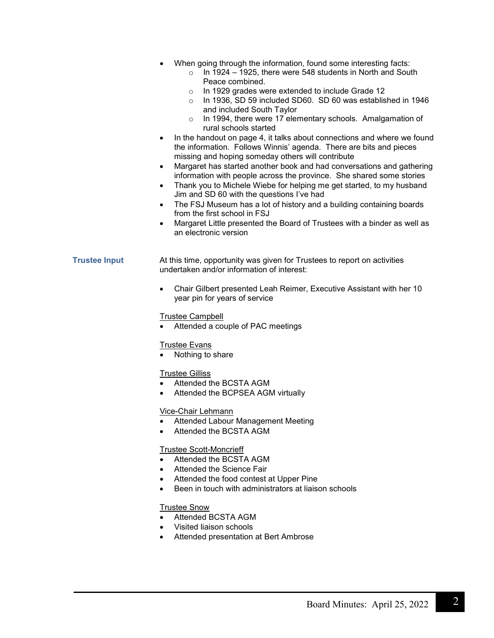- When going through the information, found some interesting facts:
	- $\circ$  In 1924 1925, there were 548 students in North and South Peace combined.
	- o In 1929 grades were extended to include Grade 12
	- o In 1936, SD 59 included SD60. SD 60 was established in 1946 and included South Taylor
	- o In 1994, there were 17 elementary schools. Amalgamation of rural schools started
	- In the handout on page 4, it talks about connections and where we found the information. Follows Winnis' agenda. There are bits and pieces missing and hoping someday others will contribute
- Margaret has started another book and had conversations and gathering information with people across the province. She shared some stories
- Thank you to Michele Wiebe for helping me get started, to my husband Jim and SD 60 with the questions I've had
- The FSJ Museum has a lot of history and a building containing boards from the first school in FSJ
- Margaret Little presented the Board of Trustees with a binder as well as an electronic version

# **Trustee Input** At this time, opportunity was given for Trustees to report on activities undertaken and/or information of interest:

• Chair Gilbert presented Leah Reimer, Executive Assistant with her 10 year pin for years of service

# Trustee Campbell

Attended a couple of PAC meetings

# **Trustee Evans**

• Nothing to share

# Trustee Gilliss

- Attended the BCSTA AGM
- Attended the BCPSEA AGM virtually

# Vice-Chair Lehmann

- Attended Labour Management Meeting
- Attended the BCSTA AGM

# Trustee Scott-Moncrieff

- Attended the BCSTA AGM
- Attended the Science Fair
- Attended the food contest at Upper Pine
- Been in touch with administrators at liaison schools

# Trustee Snow

- Attended BCSTA AGM
- Visited liaison schools
- Attended presentation at Bert Ambrose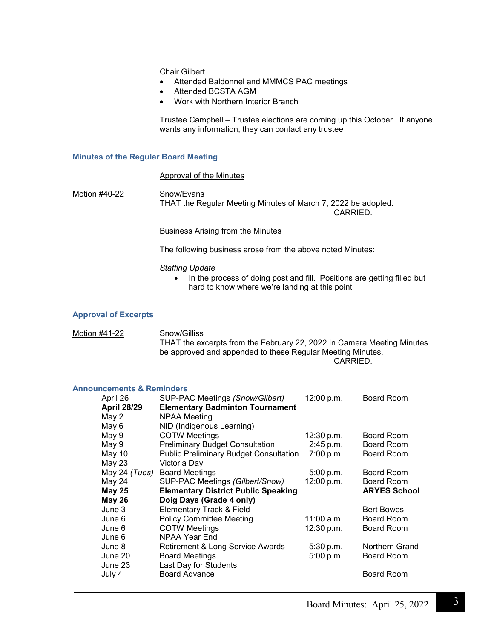Chair Gilbert

- Attended Baldonnel and MMMCS PAC meetings
- Attended BCSTA AGM
- Work with Northern Interior Branch

Trustee Campbell – Trustee elections are coming up this October. If anyone wants any information, they can contact any trustee

#### **Minutes of the Regular Board Meeting**

#### Approval of the Minutes

Motion #40-22 Snow/Evans THAT the Regular Meeting Minutes of March 7, 2022 be adopted.

CARRIED.

Business Arising from the Minutes

The following business arose from the above noted Minutes:

#### *Staffing Update*

• In the process of doing post and fill. Positions are getting filled but hard to know where we're landing at this point

#### **Approval of Excerpts**

#### Motion #41-22 Snow/Gilliss THAT the excerpts from the February 22, 2022 In Camera Meeting Minutes be approved and appended to these Regular Meeting Minutes. CARRIED.

#### **Announcements & Reminders**

| April 26           | SUP-PAC Meetings (Snow/Gilbert)               | 12:00 p.m.   | Board Room          |
|--------------------|-----------------------------------------------|--------------|---------------------|
| <b>April 28/29</b> | <b>Elementary Badminton Tournament</b>        |              |                     |
| May 2              | NPAA Meeting                                  |              |                     |
| May 6              | NID (Indigenous Learning)                     |              |                     |
| May 9              | <b>COTW Meetings</b>                          | 12:30 p.m.   | Board Room          |
| May 9              | <b>Preliminary Budget Consultation</b>        | 2:45 p.m.    | Board Room          |
| May 10             | <b>Public Preliminary Budget Consultation</b> | 7:00 p.m.    | Board Room          |
| May 23             | Victoria Day                                  |              |                     |
| May 24 $(Tues)$    | <b>Board Meetings</b>                         | 5:00 p.m.    | Board Room          |
| May 24             | SUP-PAC Meetings (Gilbert/Snow)               | 12:00 p.m.   | Board Room          |
|                    |                                               |              |                     |
| <b>May 25</b>      | <b>Elementary District Public Speaking</b>    |              | <b>ARYES School</b> |
| <b>May 26</b>      | Doig Days (Grade 4 only)                      |              |                     |
| June 3             | Elementary Track & Field                      |              | <b>Bert Bowes</b>   |
| June 6             | <b>Policy Committee Meeting</b>               | $11:00$ a.m. | Board Room          |
| June 6             | <b>COTW Meetings</b>                          | 12:30 p.m.   | Board Room          |
| June 6             | NPAA Year End                                 |              |                     |
| June 8             | Retirement & Long Service Awards              | 5:30 p.m.    | Northern Grand      |
| June 20            | <b>Board Meetings</b>                         | 5:00 p.m.    | Board Room          |
| June 23            | Last Day for Students                         |              |                     |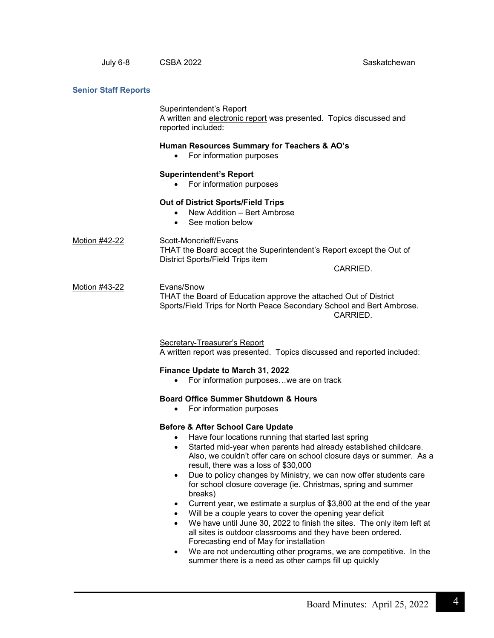#### **Senior Staff Reports**

#### Superintendent's Report

A written and electronic report was presented. Topics discussed and reported included:

### **Human Resources Summary for Teachers & AO's**

• For information purposes

#### **Superintendent's Report**

• For information purposes

#### **Out of District Sports/Field Trips**

- New Addition Bert Ambrose
- See motion below

Motion #42-22 Scott-Moncrieff/Evans THAT the Board accept the Superintendent's Report except the Out of District Sports/Field Trips item

CARRIED.

#### Motion #43-22 Evans/Snow THAT the Board of Education approve the attached Out of District Sports/Field Trips for North Peace Secondary School and Bert Ambrose. CARRIED.

Secretary-Treasurer's Report A written report was presented. Topics discussed and reported included:

#### **Finance Update to March 31, 2022**

• For information purposes…we are on track

# **Board Office Summer Shutdown & Hours**

• For information purposes

#### **Before & After School Care Update**

- Have four locations running that started last spring
- Started mid-year when parents had already established childcare. Also, we couldn't offer care on school closure days or summer. As a result, there was a loss of \$30,000
- Due to policy changes by Ministry, we can now offer students care for school closure coverage (ie. Christmas, spring and summer breaks)
- Current year, we estimate a surplus of \$3,800 at the end of the year
- Will be a couple years to cover the opening year deficit
- We have until June 30, 2022 to finish the sites. The only item left at all sites is outdoor classrooms and they have been ordered. Forecasting end of May for installation
- We are not undercutting other programs, we are competitive. In the summer there is a need as other camps fill up quickly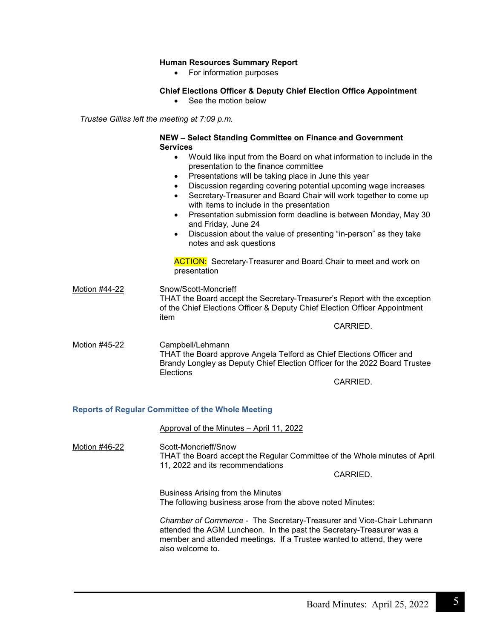# **Human Resources Summary Report**

• For information purposes

# **Chief Elections Officer & Deputy Chief Election Office Appointment**

• See the motion below

*Trustee Gilliss left the meeting at 7:09 p.m.*

# **NEW – Select Standing Committee on Finance and Government Services**

- Would like input from the Board on what information to include in the presentation to the finance committee
- Presentations will be taking place in June this year
- Discussion regarding covering potential upcoming wage increases
- Secretary-Treasurer and Board Chair will work together to come up with items to include in the presentation
- Presentation submission form deadline is between Monday, May 30 and Friday, June 24
- Discussion about the value of presenting "in-person" as they take notes and ask questions

**ACTION:** Secretary-Treasurer and Board Chair to meet and work on presentation

Motion #44-22 Snow/Scott-Moncrieff THAT the Board accept the Secretary-Treasurer's Report with the exception of the Chief Elections Officer & Deputy Chief Election Officer Appointment item

CARRIED.

Motion #45-22 Campbell/Lehmann THAT the Board approve Angela Telford as Chief Elections Officer and Brandy Longley as Deputy Chief Election Officer for the 2022 Board Trustee **Elections** 

CARRIED.

#### **Reports of Regular Committee of the Whole Meeting**

Approval of the Minutes – April 11, 2022

Motion #46-22 Scott-Moncrieff/Snow THAT the Board accept the Regular Committee of the Whole minutes of April 11, 2022 and its recommendations

CARRIED.

Business Arising from the Minutes The following business arose from the above noted Minutes:

*Chamber of Commerce* - The Secretary-Treasurer and Vice-Chair Lehmann attended the AGM Luncheon. In the past the Secretary-Treasurer was a member and attended meetings. If a Trustee wanted to attend, they were also welcome to.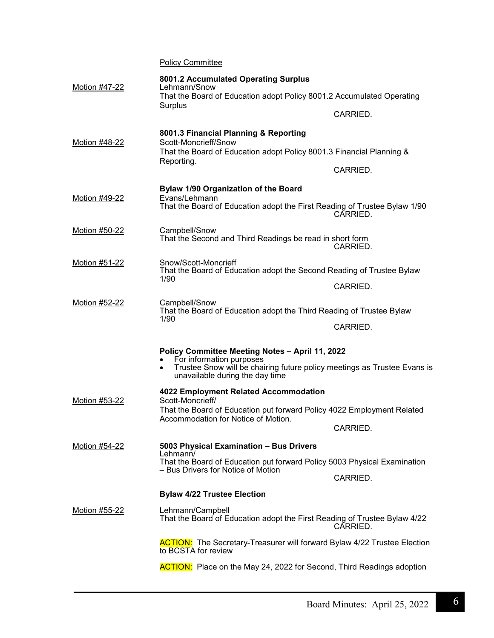**Policy Committee** 

| Motion #47-22        | 8001.2 Accumulated Operating Surplus<br>Lehmann/Snow<br>That the Board of Education adopt Policy 8001.2 Accumulated Operating<br>Surplus                                                                |          |
|----------------------|---------------------------------------------------------------------------------------------------------------------------------------------------------------------------------------------------------|----------|
|                      |                                                                                                                                                                                                         | CARRIED. |
| Motion #48-22        | 8001.3 Financial Planning & Reporting<br>Scott-Moncrieff/Snow<br>That the Board of Education adopt Policy 8001.3 Financial Planning &                                                                   |          |
|                      | Reporting.                                                                                                                                                                                              |          |
|                      |                                                                                                                                                                                                         | CARRIED. |
| Motion #49-22        | Bylaw 1/90 Organization of the Board<br>Evans/Lehmann                                                                                                                                                   |          |
|                      | That the Board of Education adopt the First Reading of Trustee Bylaw 1/90                                                                                                                               | CARRIED. |
| Motion #50-22        | Campbell/Snow<br>That the Second and Third Readings be read in short form                                                                                                                               | CARRIED. |
| Motion #51-22        | Snow/Scott-Moncrieff<br>That the Board of Education adopt the Second Reading of Trustee Bylaw<br>1/90                                                                                                   |          |
|                      |                                                                                                                                                                                                         | CARRIED. |
| Motion #52-22        | Campbell/Snow<br>That the Board of Education adopt the Third Reading of Trustee Bylaw<br>1/90                                                                                                           |          |
|                      |                                                                                                                                                                                                         | CARRIED. |
|                      | Policy Committee Meeting Notes - April 11, 2022<br>For information purposes<br>Trustee Snow will be chairing future policy meetings as Trustee Evans is<br>$\bullet$<br>unavailable during the day time |          |
|                      | 4022 Employment Related Accommodation                                                                                                                                                                   |          |
| Motion #53-22        | Scott-Moncrieff/<br>That the Board of Education put forward Policy 4022 Employment Related<br>Accommodation for Notice of Motion.                                                                       |          |
|                      |                                                                                                                                                                                                         | CARRIED. |
| Motion #54-22        | 5003 Physical Examination - Bus Drivers<br>Lehmann/                                                                                                                                                     |          |
|                      | That the Board of Education put forward Policy 5003 Physical Examination<br>- Bus Drivers for Notice of Motion                                                                                          |          |
|                      |                                                                                                                                                                                                         | CARRIED. |
|                      | <b>Bylaw 4/22 Trustee Election</b>                                                                                                                                                                      |          |
| <u>Motion #55-22</u> | Lehmann/Campbell<br>That the Board of Education adopt the First Reading of Trustee Bylaw 4/22                                                                                                           | CARRIED. |
|                      | <b>ACTION:</b> The Secretary-Treasurer will forward Bylaw 4/22 Trustee Election<br>to BCSTA for review                                                                                                  |          |
|                      | <b>ACTION:</b> Place on the May 24, 2022 for Second, Third Readings adoption                                                                                                                            |          |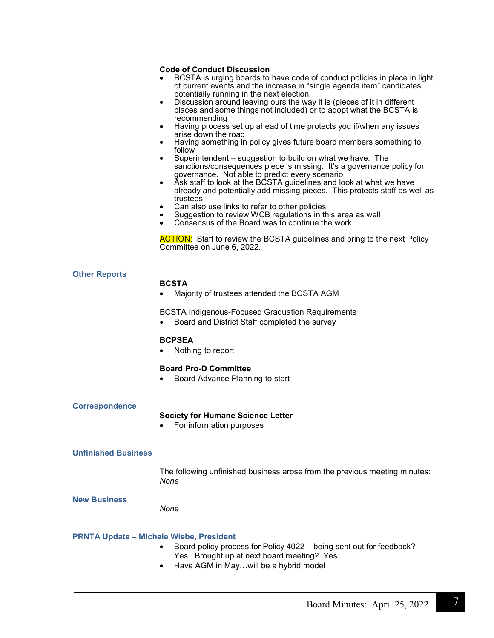#### **Code of Conduct Discussion**

- BCSTA is urging boards to have code of conduct policies in place in light of current events and the increase in "single agenda item" candidates potentially running in the next election
- Discussion around leaving ours the way it is (pieces of it in different places and some things not included) or to adopt what the BCSTA is recommending
- Having process set up ahead of time protects you if/when any issues arise down the road
- Having something in policy gives future board members something to follow
- Superintendent suggestion to build on what we have. The sanctions/consequences piece is missing. It's a governance policy for governance. Not able to predict every scenario
- Ask staff to look at the BCSTA guidelines and look at what we have already and potentially add missing pieces. This protects staff as well as
- trustees<br>Can also use links to refer to other policies
- Suggestion to review WCB regulations in this area as well
- Consensus of the Board was to continue the work

**ACTION:** Staff to review the BCSTA guidelines and bring to the next Policy Committee on June 6, 2022.

#### **Other Reports**

#### **BCSTA**

• Majority of trustees attended the BCSTA AGM

#### BCSTA Indigenous-Focused Graduation Requirements

• Board and District Staff completed the survey

#### **BCPSEA**

• Nothing to report

#### **Board Pro-D Committee**

• Board Advance Planning to start

#### **Correspondence**

#### **Society for Humane Science Letter**

• For information purposes

#### **Unfinished Business**

The following unfinished business arose from the previous meeting minutes: *None*

**New Business** 

*None*

#### **PRNTA Update – Michele Wiebe, President**

- Board policy process for Policy 4022 being sent out for feedback? Yes. Brought up at next board meeting? Yes
- Have AGM in May…will be a hybrid model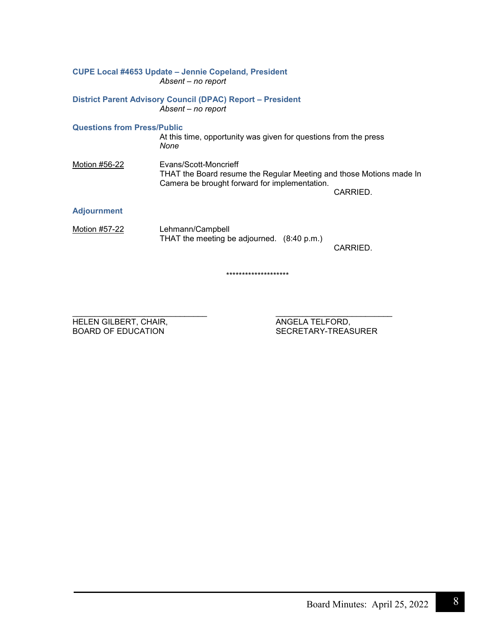|                                    | <b>CUPE Local #4653 Update - Jennie Copeland, President</b><br>Absent - no report                                                             |          |
|------------------------------------|-----------------------------------------------------------------------------------------------------------------------------------------------|----------|
|                                    | District Parent Advisory Council (DPAC) Report - President<br>Absent - no report                                                              |          |
| <b>Questions from Press/Public</b> | At this time, opportunity was given for questions from the press<br>None                                                                      |          |
| Motion #56-22                      | Evans/Scott-Moncrieff<br>THAT the Board resume the Regular Meeting and those Motions made In<br>Camera be brought forward for implementation. | CARRIED. |
| <b>Adjournment</b>                 |                                                                                                                                               |          |
| Motion #57-22                      | Lehmann/Campbell<br>THAT the meeting be adjourned. (8:40 p.m.)                                                                                | CARRIED. |
|                                    | ********************                                                                                                                          |          |

\_\_\_\_\_\_\_\_\_\_\_\_\_\_\_\_\_\_\_\_\_\_\_\_\_\_\_\_\_\_ \_\_\_\_\_\_\_\_\_\_\_\_\_\_\_\_\_\_\_\_\_\_\_\_\_\_ HELEN GILBERT, CHAIR, ANGELA TELFORD,

BOARD OF EDUCATION GEREEN SECRETARY-TREASURER